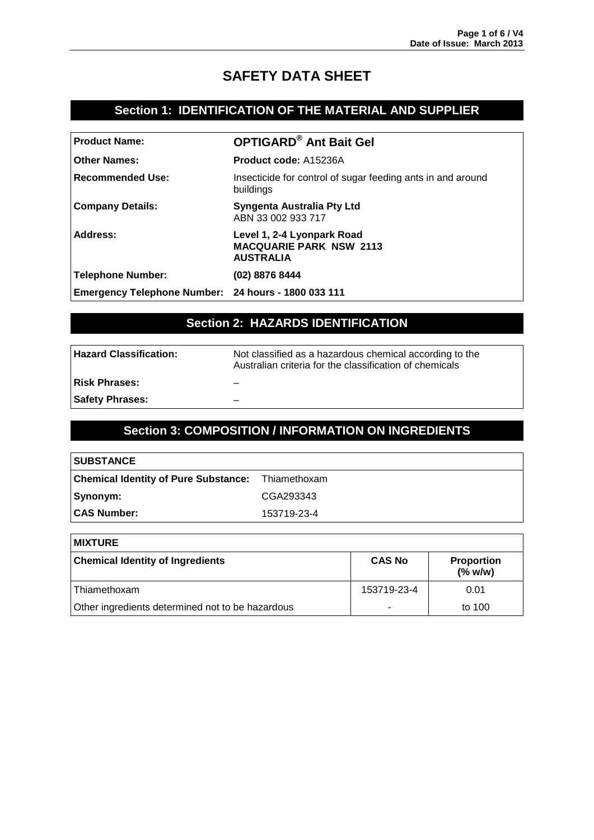# **SAFETY DATA SHEET**

### **Section 1: IDENTIFICATION OF THE MATERIAL AND SUPPLIER**

| <b>Product Name:</b>                                | <b>OPTIGARD<sup>®</sup> Ant Bait Gel</b>                                         |
|-----------------------------------------------------|----------------------------------------------------------------------------------|
| <b>Other Names:</b>                                 | <b>Product code: A15236A</b>                                                     |
| <b>Recommended Use:</b>                             | Insecticide for control of sugar feeding ants in and around<br>buildings         |
| <b>Company Details:</b>                             | Syngenta Australia Pty Ltd<br>ABN 33 002 933 717                                 |
| Address:                                            | Level 1, 2-4 Lyonpark Road<br><b>MACQUARIE PARK NSW 2113</b><br><b>AUSTRALIA</b> |
| <b>Telephone Number:</b>                            | (02) 8876 8444                                                                   |
| Emergency Telephone Number: 24 hours - 1800 033 111 |                                                                                  |

# **Section 2: HAZARDS IDENTIFICATION**

| Hazard Classification: | Not classified as a hazardous chemical according to the<br>Australian criteria for the classification of chemicals |
|------------------------|--------------------------------------------------------------------------------------------------------------------|
| ∣Risk Phrases:         |                                                                                                                    |
| <b>Safety Phrases:</b> |                                                                                                                    |
|                        |                                                                                                                    |

### **Section 3: COMPOSITION / INFORMATION ON INGREDIENTS**

| <b>SUBSTANCE</b>                                         |             |
|----------------------------------------------------------|-------------|
| <b>Chemical Identity of Pure Substance:</b> Thiamethoxam |             |
| Synonym:                                                 | CGA293343   |
| <b>CAS Number:</b>                                       | 153719-23-4 |

| <b>MIXTURE</b>                                   |               |                                 |
|--------------------------------------------------|---------------|---------------------------------|
| <b>Chemical Identity of Ingredients</b>          | <b>CAS No</b> | <b>Proportion</b><br>$(\%$ w/w) |
| l Thiamethoxam                                   | 153719-23-4   | 0.01                            |
| Other ingredients determined not to be hazardous | ۰             | to 100                          |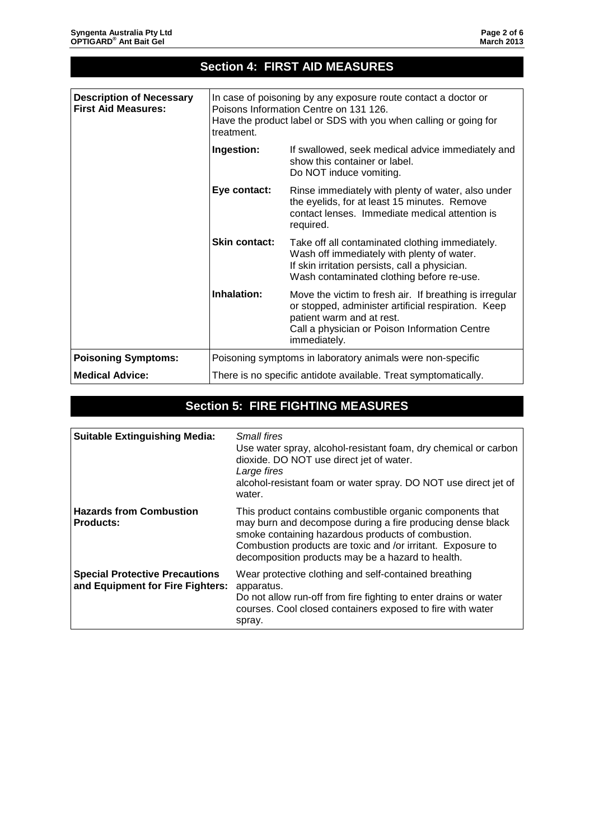| In case of poisoning by any exposure route contact a doctor or<br><b>First Aid Measures:</b><br>Poisons Information Centre on 131 126.<br>Have the product label or SDS with you when calling or going for<br>treatment.<br>Ingestion:<br>If swallowed, seek medical advice immediately and<br>show this container or label.<br>Do NOT induce vomiting.<br>Rinse immediately with plenty of water, also under<br>Eye contact:<br>the eyelids, for at least 15 minutes. Remove<br>contact lenses. Immediate medical attention is<br>required.<br><b>Skin contact:</b><br>Take off all contaminated clothing immediately.<br>Wash off immediately with plenty of water.<br>If skin irritation persists, call a physician.<br>Wash contaminated clothing before re-use.<br>Inhalation:<br>Move the victim to fresh air. If breathing is irregular<br>or stopped, administer artificial respiration. Keep<br>patient warm and at rest.<br>Call a physician or Poison Information Centre<br>immediately.<br>Poisoning symptoms in laboratory animals were non-specific<br>There is no specific antidote available. Treat symptomatically. | <b>Section 4: FIRST AID MEASURES</b> |  |  |
|--------------------------------------------------------------------------------------------------------------------------------------------------------------------------------------------------------------------------------------------------------------------------------------------------------------------------------------------------------------------------------------------------------------------------------------------------------------------------------------------------------------------------------------------------------------------------------------------------------------------------------------------------------------------------------------------------------------------------------------------------------------------------------------------------------------------------------------------------------------------------------------------------------------------------------------------------------------------------------------------------------------------------------------------------------------------------------------------------------------------------------------|--------------------------------------|--|--|
|                                                                                                                                                                                                                                                                                                                                                                                                                                                                                                                                                                                                                                                                                                                                                                                                                                                                                                                                                                                                                                                                                                                                      |                                      |  |  |
|                                                                                                                                                                                                                                                                                                                                                                                                                                                                                                                                                                                                                                                                                                                                                                                                                                                                                                                                                                                                                                                                                                                                      | <b>Description of Necessary</b>      |  |  |
|                                                                                                                                                                                                                                                                                                                                                                                                                                                                                                                                                                                                                                                                                                                                                                                                                                                                                                                                                                                                                                                                                                                                      |                                      |  |  |
|                                                                                                                                                                                                                                                                                                                                                                                                                                                                                                                                                                                                                                                                                                                                                                                                                                                                                                                                                                                                                                                                                                                                      |                                      |  |  |
|                                                                                                                                                                                                                                                                                                                                                                                                                                                                                                                                                                                                                                                                                                                                                                                                                                                                                                                                                                                                                                                                                                                                      |                                      |  |  |
|                                                                                                                                                                                                                                                                                                                                                                                                                                                                                                                                                                                                                                                                                                                                                                                                                                                                                                                                                                                                                                                                                                                                      |                                      |  |  |
|                                                                                                                                                                                                                                                                                                                                                                                                                                                                                                                                                                                                                                                                                                                                                                                                                                                                                                                                                                                                                                                                                                                                      | <b>Poisoning Symptoms:</b>           |  |  |
|                                                                                                                                                                                                                                                                                                                                                                                                                                                                                                                                                                                                                                                                                                                                                                                                                                                                                                                                                                                                                                                                                                                                      | <b>Medical Advice:</b>               |  |  |

# **Section 5: FIRE FIGHTING MEASURES**

| <b>Suitable Extinguishing Media:</b>                                      | Small fires<br>Use water spray, alcohol-resistant foam, dry chemical or carbon<br>dioxide. DO NOT use direct jet of water.<br>Large fires<br>alcohol-resistant foam or water spray. DO NOT use direct jet of<br>water.                                                                            |
|---------------------------------------------------------------------------|---------------------------------------------------------------------------------------------------------------------------------------------------------------------------------------------------------------------------------------------------------------------------------------------------|
| <b>Hazards from Combustion</b><br><b>Products:</b>                        | This product contains combustible organic components that<br>may burn and decompose during a fire producing dense black<br>smoke containing hazardous products of combustion.<br>Combustion products are toxic and /or irritant. Exposure to<br>decomposition products may be a hazard to health. |
| <b>Special Protective Precautions</b><br>and Equipment for Fire Fighters: | Wear protective clothing and self-contained breathing<br>apparatus.<br>Do not allow run-off from fire fighting to enter drains or water<br>courses. Cool closed containers exposed to fire with water<br>spray.                                                                                   |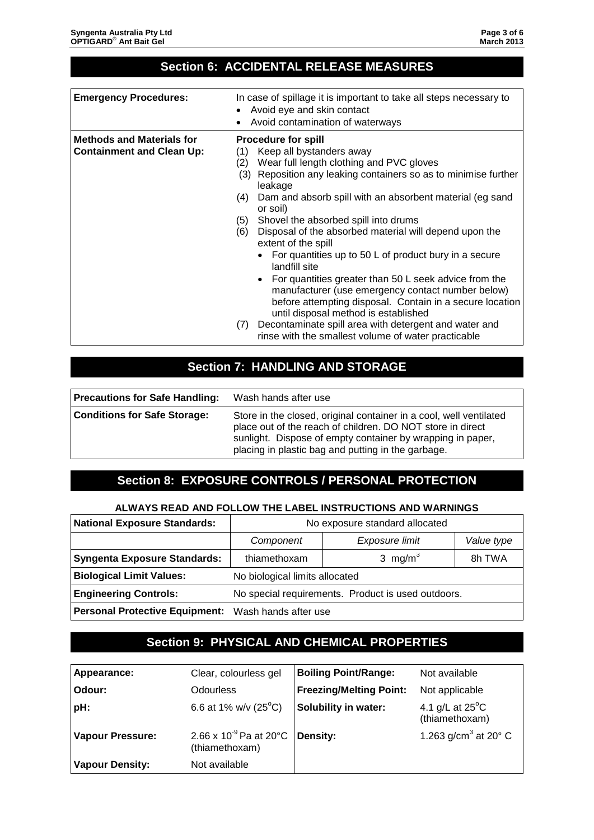### **Section 6: ACCIDENTAL RELEASE MEASURES**

| <b>Emergency Procedures:</b>                                         | In case of spillage it is important to take all steps necessary to<br>Avoid eye and skin contact<br>Avoid contamination of waterways                                                                                                                                                                                                                                                                                                                                                                                                                                                                                                                                                                                                                                                                                                         |
|----------------------------------------------------------------------|----------------------------------------------------------------------------------------------------------------------------------------------------------------------------------------------------------------------------------------------------------------------------------------------------------------------------------------------------------------------------------------------------------------------------------------------------------------------------------------------------------------------------------------------------------------------------------------------------------------------------------------------------------------------------------------------------------------------------------------------------------------------------------------------------------------------------------------------|
| <b>Methods and Materials for</b><br><b>Containment and Clean Up:</b> | <b>Procedure for spill</b><br>Keep all bystanders away<br>(1)<br>Wear full length clothing and PVC gloves<br>(2)<br>Reposition any leaking containers so as to minimise further<br>(3)<br>leakage<br>Dam and absorb spill with an absorbent material (eg sand<br>(4)<br>or soil)<br>Shovel the absorbed spill into drums<br>(5)<br>Disposal of the absorbed material will depend upon the<br>(6)<br>extent of the spill<br>For quantities up to 50 L of product bury in a secure<br>landfill site<br>• For quantities greater than 50 L seek advice from the<br>manufacturer (use emergency contact number below)<br>before attempting disposal. Contain in a secure location<br>until disposal method is established<br>Decontaminate spill area with detergent and water and<br>(7)<br>rinse with the smallest volume of water practicable |

## **Section 7: HANDLING AND STORAGE**

| <b>Precautions for Safe Handling:</b> | Wash hands after use                                                                                                                                                                                                                                 |
|---------------------------------------|------------------------------------------------------------------------------------------------------------------------------------------------------------------------------------------------------------------------------------------------------|
| <b>Conditions for Safe Storage:</b>   | Store in the closed, original container in a cool, well ventilated<br>place out of the reach of children. DO NOT store in direct<br>sunlight. Dispose of empty container by wrapping in paper,<br>placing in plastic bag and putting in the garbage. |

### **Section 8: EXPOSURE CONTROLS / PERSONAL PROTECTION**

#### **ALWAYS READ AND FOLLOW THE LABEL INSTRUCTIONS AND WARNINGS**

| <b>National Exposure Standards:</b>                 | No exposure standard allocated                     |                     |            |
|-----------------------------------------------------|----------------------------------------------------|---------------------|------------|
|                                                     | Component                                          | Exposure limit      | Value type |
| <b>Syngenta Exposure Standards:</b>                 | thiamethoxam                                       | 3 mg/m <sup>3</sup> | 8h TWA     |
| <b>Biological Limit Values:</b>                     | No biological limits allocated                     |                     |            |
| <b>Engineering Controls:</b>                        | No special requirements. Product is used outdoors. |                     |            |
| Personal Protective Equipment: Wash hands after use |                                                    |                     |            |

### **Section 9: PHYSICAL AND CHEMICAL PROPERTIES**

| Appearance:             | Clear, colourless gel                         | <b>Boiling Point/Range:</b>    | Not available                               |
|-------------------------|-----------------------------------------------|--------------------------------|---------------------------------------------|
| Odour:                  | <b>Odourless</b>                              | <b>Freezing/Melting Point:</b> | Not applicable                              |
| pH:                     | 6.6 at 1% w/v $(25^{\circ}C)$                 | <b>Solubility in water:</b>    | 4.1 g/L at $25^{\circ}$ C<br>(thiamethoxam) |
| <b>Vapour Pressure:</b> | 2.66 x $10^{-9}$ Pa at 20°C<br>(thiamethoxam) | Density:                       | 1.263 g/cm <sup>3</sup> at 20 $^{\circ}$ C  |
| <b>Vapour Density:</b>  | Not available                                 |                                |                                             |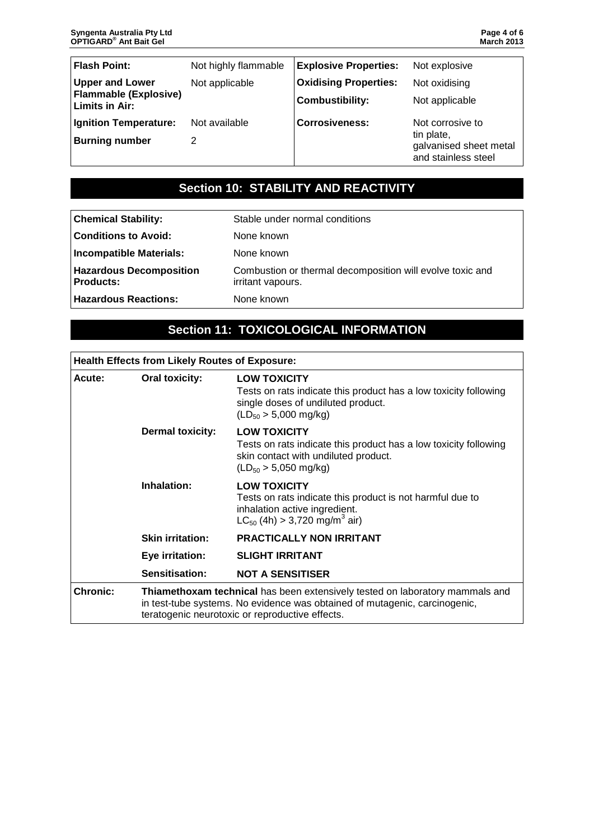| <b>Flash Point:</b>                            | Not highly flammable | <b>Explosive Properties:</b> | Not explosive                                               |
|------------------------------------------------|----------------------|------------------------------|-------------------------------------------------------------|
| <b>Upper and Lower</b>                         | Not applicable       | <b>Oxidising Properties:</b> | Not oxidising                                               |
| <b>Flammable (Explosive)</b><br>Limits in Air: |                      | <b>Combustibility:</b>       | Not applicable                                              |
| Ignition Temperature:                          | Not available        | <b>Corrosiveness:</b>        | Not corrosive to                                            |
| <b>Burning number</b>                          |                      |                              | tin plate,<br>galvanised sheet metal<br>and stainless steel |

# **Section 10: STABILITY AND REACTIVITY**

| <b>Chemical Stability:</b>                    | Stable under normal conditions                                                 |
|-----------------------------------------------|--------------------------------------------------------------------------------|
| <b>Conditions to Avoid:</b>                   | None known                                                                     |
| Incompatible Materials:                       | None known                                                                     |
| <b>Hazardous Decomposition</b><br>Products: l | Combustion or thermal decomposition will evolve toxic and<br>irritant vapours. |
| <b>Hazardous Reactions:</b>                   | None known                                                                     |

# **Section 11: TOXICOLOGICAL INFORMATION**

| <b>Health Effects from Likely Routes of Exposure:</b> |                                                                                                                                                                                                               |                                                                                                                                                                    |  |  |
|-------------------------------------------------------|---------------------------------------------------------------------------------------------------------------------------------------------------------------------------------------------------------------|--------------------------------------------------------------------------------------------------------------------------------------------------------------------|--|--|
| <b>Oral toxicity:</b><br>Acute:                       |                                                                                                                                                                                                               | <b>LOW TOXICITY</b><br>Tests on rats indicate this product has a low toxicity following<br>single doses of undiluted product.<br>$(LD_{50} > 5,000$ mg/kg)         |  |  |
|                                                       | <b>Dermal toxicity:</b>                                                                                                                                                                                       | <b>LOW TOXICITY</b><br>Tests on rats indicate this product has a low toxicity following<br>skin contact with undiluted product.<br>$(LD_{50} > 5,050$ mg/kg)       |  |  |
|                                                       | Inhalation:                                                                                                                                                                                                   | <b>LOW TOXICITY</b><br>Tests on rats indicate this product is not harmful due to<br>inhalation active ingredient.<br>$LC_{50}$ (4h) > 3,720 mg/m <sup>3</sup> air) |  |  |
|                                                       | <b>Skin irritation:</b>                                                                                                                                                                                       | <b>PRACTICALLY NON IRRITANT</b>                                                                                                                                    |  |  |
|                                                       | Eye irritation:                                                                                                                                                                                               | <b>SLIGHT IRRITANT</b>                                                                                                                                             |  |  |
|                                                       | Sensitisation:                                                                                                                                                                                                | <b>NOT A SENSITISER</b>                                                                                                                                            |  |  |
| <b>Chronic:</b>                                       | Thiamethoxam technical has been extensively tested on laboratory mammals and<br>in test-tube systems. No evidence was obtained of mutagenic, carcinogenic,<br>teratogenic neurotoxic or reproductive effects. |                                                                                                                                                                    |  |  |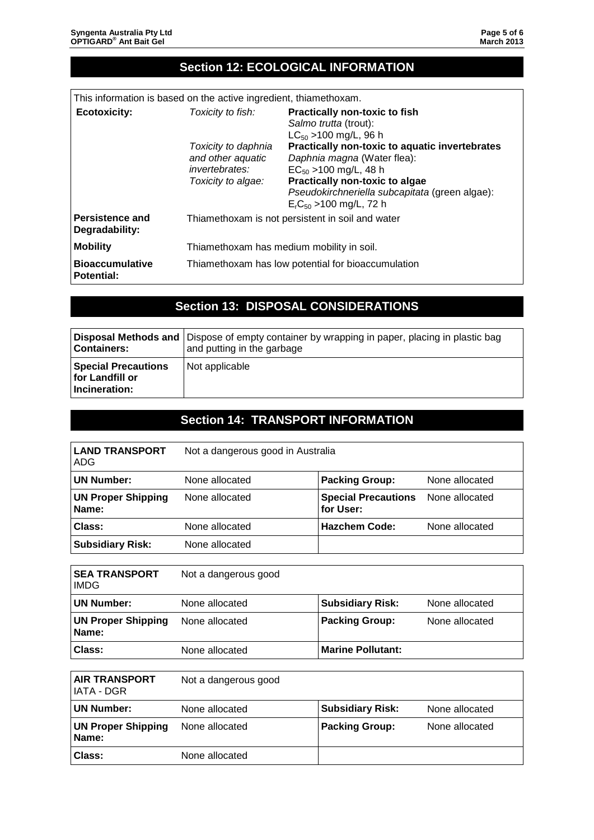## **Section 12: ECOLOGICAL INFORMATION**

| This information is based on the active ingredient, thiamethoxam. |  |
|-------------------------------------------------------------------|--|
|-------------------------------------------------------------------|--|

| <b>Ecotoxicity:</b>                         | Toxicity to fish:                                                                       | <b>Practically non-toxic to fish</b><br>Salmo trutta (trout):<br>$LC_{50}$ > 100 mg/L, 96 h                                                                                                                                       |
|---------------------------------------------|-----------------------------------------------------------------------------------------|-----------------------------------------------------------------------------------------------------------------------------------------------------------------------------------------------------------------------------------|
|                                             | Toxicity to daphnia<br>and other aquatic<br><i>invertebrates:</i><br>Toxicity to algae: | <b>Practically non-toxic to aquatic invertebrates</b><br>Daphnia magna (Water flea):<br>$EC_{50}$ > 100 mg/L, 48 h<br>Practically non-toxic to algae<br>Pseudokirchneriella subcapitata (green algae):<br>$ErC50$ >100 mg/L, 72 h |
| <b>Persistence and</b><br>Degradability:    | Thiamethoxam is not persistent in soil and water                                        |                                                                                                                                                                                                                                   |
| <b>Mobility</b>                             | Thiamethoxam has medium mobility in soil.                                               |                                                                                                                                                                                                                                   |
| <b>Bioaccumulative</b><br><b>Potential:</b> | Thiamethoxam has low potential for bioaccumulation                                      |                                                                                                                                                                                                                                   |

### **Section 13: DISPOSAL CONSIDERATIONS**

| <b>Containers:</b>                                             | Disposal Methods and   Dispose of empty container by wrapping in paper, placing in plastic bag<br>and putting in the garbage |
|----------------------------------------------------------------|------------------------------------------------------------------------------------------------------------------------------|
| <b>Special Precautions</b><br>for Landfill or<br>Incineration: | Not applicable                                                                                                               |

### **Section 14: TRANSPORT INFORMATION**

| <b>LAND TRANSPORT</b><br>ADG       | Not a dangerous good in Australia |                                         |                |
|------------------------------------|-----------------------------------|-----------------------------------------|----------------|
| <b>UN Number:</b>                  | None allocated                    | <b>Packing Group:</b>                   | None allocated |
| <b>UN Proper Shipping</b><br>Name: | None allocated                    | <b>Special Precautions</b><br>for User: | None allocated |
| Class:                             | None allocated                    | <b>Hazchem Code:</b>                    | None allocated |
| <b>Subsidiary Risk:</b>            | None allocated                    |                                         |                |

| <b>SEA TRANSPORT</b><br><b>IMDG</b> | Not a dangerous good |                          |                |
|-------------------------------------|----------------------|--------------------------|----------------|
| <b>UN Number:</b>                   | None allocated       | <b>Subsidiary Risk:</b>  | None allocated |
| <b>UN Proper Shipping</b><br>Name:  | None allocated       | <b>Packing Group:</b>    | None allocated |
| Class:                              | None allocated       | <b>Marine Pollutant:</b> |                |

| <b>AIR TRANSPORT</b><br>IATA - DGR | Not a dangerous good |                         |                |
|------------------------------------|----------------------|-------------------------|----------------|
| UN Number:                         | None allocated       | <b>Subsidiary Risk:</b> | None allocated |
| <b>UN Proper Shipping</b><br>Name: | None allocated       | <b>Packing Group:</b>   | None allocated |
| <b>Class:</b>                      | None allocated       |                         |                |